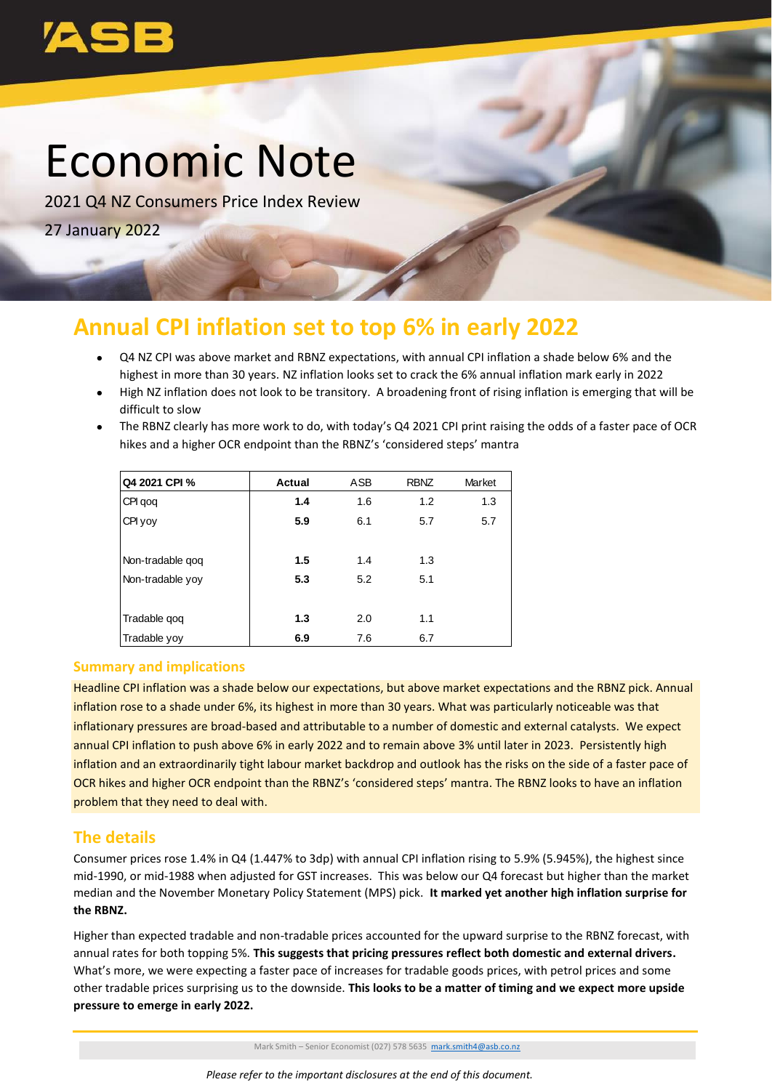# Economic Note

2021 Q4 NZ Consumers Price Index Review

27 January 2022

## **Annual CPI inflation set to top 6% in early 2022**

- Q4 NZ CPI was above market and RBNZ expectations, with annual CPI inflation a shade below 6% and the highest in more than 30 years. NZ inflation looks set to crack the 6% annual inflation mark early in 2022
- High NZ inflation does not look to be transitory. A broadening front of rising inflation is emerging that will be difficult to slow
- The RBNZ clearly has more work to do, with today's Q4 2021 CPI print raising the odds of a faster pace of OCR hikes and a higher OCR endpoint than the RBNZ's 'considered steps' mantra

|                                                                                    | Q4 2021 CPI %                                                                                                                                                            | <b>Actual</b>                                                                                                            | ASB | <b>RBNZ</b> | Market |  |  |
|------------------------------------------------------------------------------------|--------------------------------------------------------------------------------------------------------------------------------------------------------------------------|--------------------------------------------------------------------------------------------------------------------------|-----|-------------|--------|--|--|
|                                                                                    | CPI qoq                                                                                                                                                                  | 1.4                                                                                                                      | 1.6 | 1.2         | 1.3    |  |  |
|                                                                                    | CPI yoy                                                                                                                                                                  | 5.9                                                                                                                      | 6.1 | 5.7         | 5.7    |  |  |
|                                                                                    |                                                                                                                                                                          |                                                                                                                          |     |             |        |  |  |
|                                                                                    | Non-tradable qoq                                                                                                                                                         | 1.5                                                                                                                      | 1.4 | 1.3         |        |  |  |
|                                                                                    | Non-tradable yoy                                                                                                                                                         | 5.3                                                                                                                      | 5.2 | 5.1         |        |  |  |
|                                                                                    |                                                                                                                                                                          |                                                                                                                          |     |             |        |  |  |
|                                                                                    | Tradable qoq                                                                                                                                                             | $1.3$                                                                                                                    | 2.0 | 1.1         |        |  |  |
|                                                                                    | Tradable yoy                                                                                                                                                             | 6.9                                                                                                                      | 7.6 | 6.7         |        |  |  |
|                                                                                    | <b>Summary and implications</b>                                                                                                                                          |                                                                                                                          |     |             |        |  |  |
|                                                                                    |                                                                                                                                                                          |                                                                                                                          |     |             |        |  |  |
|                                                                                    | Headline CPI inflation was a shade below our expectations, but above market exped<br>inflation rose to a shade under 6%, its highest in more than 30 years. What was par |                                                                                                                          |     |             |        |  |  |
| inflationary pressures are broad-based and attributable to a number of domestic an |                                                                                                                                                                          |                                                                                                                          |     |             |        |  |  |
|                                                                                    | annual CPI inflation to push above 6% in early 2022 and to remain above 3% until la                                                                                      |                                                                                                                          |     |             |        |  |  |
|                                                                                    | inflation and an extraordinarily tight labour market backdrop and outlook has the ri                                                                                     |                                                                                                                          |     |             |        |  |  |
|                                                                                    |                                                                                                                                                                          |                                                                                                                          |     |             |        |  |  |
|                                                                                    |                                                                                                                                                                          | OCR hikes and higher OCR endpoint than the RBNZ's 'considered steps' mantra. The<br>problem that they need to deal with. |     |             |        |  |  |
|                                                                                    |                                                                                                                                                                          |                                                                                                                          |     |             |        |  |  |
| <b>The details</b>                                                                 |                                                                                                                                                                          |                                                                                                                          |     |             |        |  |  |
|                                                                                    | Consumer prices rose 1.4% in Q4 (1.447% to 3dp) with annual CPI inflation rising to                                                                                      |                                                                                                                          |     |             |        |  |  |
|                                                                                    | mid-1990, or mid-1988 when adjusted for GST increases. This was below our Q4 fo                                                                                          |                                                                                                                          |     |             |        |  |  |
|                                                                                    | median and the November Monetary Policy Statement (MPS) pick. It marked yet a                                                                                            |                                                                                                                          |     |             |        |  |  |
| the RBNZ.                                                                          |                                                                                                                                                                          |                                                                                                                          |     |             |        |  |  |
|                                                                                    | Higher than expected tradable and non-tradable prices accounted for the upward s                                                                                         |                                                                                                                          |     |             |        |  |  |
|                                                                                    | annual rates for both topping 5%. This suggests that pricing pressures reflect both                                                                                      |                                                                                                                          |     |             |        |  |  |
|                                                                                    | What's more, we were expecting a faster pace of increases for tradable goods price                                                                                       |                                                                                                                          |     |             |        |  |  |
|                                                                                    | other tradable prices surprising us to the downside. This looks to be a matter of tin                                                                                    |                                                                                                                          |     |             |        |  |  |
|                                                                                    | pressure to emerge in early 2022.                                                                                                                                        |                                                                                                                          |     |             |        |  |  |

#### **Summary and implications**

Headline CPI inflation was a shade below our expectations, but above market expectations and the RBNZ pick. Annual inflation rose to a shade under 6%, its highest in more than 30 years. What was particularly noticeable was that inflationary pressures are broad-based and attributable to a number of domestic and external catalysts. We expect annual CPI inflation to push above 6% in early 2022 and to remain above 3% until later in 2023. Persistently high inflation and an extraordinarily tight labour market backdrop and outlook has the risks on the side of a faster pace of OCR hikes and higher OCR endpoint than the RBNZ's 'considered steps' mantra. The RBNZ looks to have an inflation problem that they need to deal with.

### **The details**

Consumer prices rose 1.4% in Q4 (1.447% to 3dp) with annual CPI inflation rising to 5.9% (5.945%), the highest since mid-1990, or mid-1988 when adjusted for GST increases. This was below our Q4 forecast but higher than the market median and the November Monetary Policy Statement (MPS) pick. **It marked yet another high inflation surprise for the RBNZ.**

Higher than expected tradable and non-tradable prices accounted for the upward surprise to the RBNZ forecast, with annual rates for both topping 5%. **This suggests that pricing pressures reflect both domestic and external drivers.**  What's more, we were expecting a faster pace of increases for tradable goods prices, with petrol prices and some other tradable prices surprising us to the downside. **This looks to be a matter of timing and we expect more upside** 

Mark Smith – Senior Economist (027) 578 5635 [mark.smith4@asb.co.nz](mailto:mark.smith4@asb.co.nz)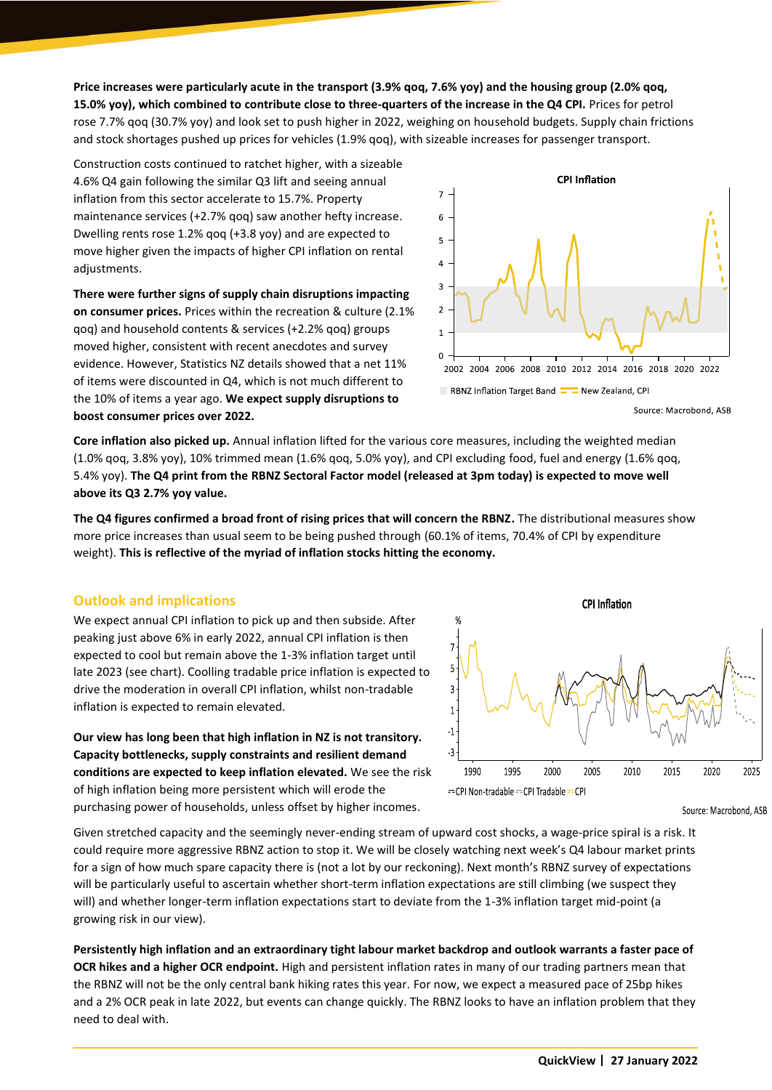**Price increases were particularly acute in the transport (3.9% qoq, 7.6% yoy) and the housing group (2.0% qoq, 15.0% yoy), which combined to contribute close to three-quarters of the increase in the Q4 CPI.** Prices for petrol rose 7.7% qoq (30.7% yoy) and look set to push higher in 2022, weighing on household budgets. Supply chain frictions and stock shortages pushed up prices for vehicles (1.9% qoq), with sizeable increases for passenger transport.

Construction costs continued to ratchet higher, with a sizeable 4.6% Q4 gain following the similar Q3 lift and seeing annual inflation from this sector accelerate to 15.7%. Property maintenance services (+2.7% qoq) saw another hefty increase. Dwelling rents rose 1.2% qoq (+3.8 yoy) and are expected to move higher given the impacts of higher CPI inflation on rental adjustments.

**There were further signs of supply chain disruptions impacting on consumer prices.** Prices within the recreation & culture (2.1% qoq) and household contents & services (+2.2% qoq) groups moved higher, consistent with recent anecdotes and survey evidence. However, Statistics NZ details showed that a net 11% of items were discounted in Q4, which is not much different to the 10% of items a year ago. **We expect supply disruptions to boost consumer prices over 2022.**



Source: Macrobond, ASB

**Core inflation also picked up.** Annual inflation lifted for the various core measures, including the weighted median (1.0% qoq, 3.8% yoy), 10% trimmed mean (1.6% qoq, 5.0% yoy), and CPI excluding food, fuel and energy (1.6% qoq, 5.4% yoy). **The Q4 print from the RBNZ Sectoral Factor model (released at 3pm today) is expected to move well above its Q3 2.7% yoy value.**

**The Q4 figures confirmed a broad front of rising prices that will concern the RBNZ.** The distributional measures show more price increases than usual seem to be being pushed through (60.1% of items, 70.4% of CPI by expenditure weight). **This is reflective of the myriad of inflation stocks hitting the economy.**

#### **Outlook and implications**

We expect annual CPI inflation to pick up and then subside. After peaking just above 6% in early 2022, annual CPI inflation is then expected to cool but remain above the 1-3% inflation target until late 2023 (see chart). Coolling tradable price inflation is expected to drive the moderation in overall CPI inflation, whilst non-tradable inflation is expected to remain elevated.

**Our view has long been that high inflation in NZ is not transitory. Capacity bottlenecks, supply constraints and resilient demand conditions are expected to keep inflation elevated.** We see the risk of high inflation being more persistent which will erode the purchasing power of households, unless offset by higher incomes.



Source: Macrobond, ASB

Given stretched capacity and the seemingly never-ending stream of upward cost shocks, a wage-price spiral is a risk. It could require more aggressive RBNZ action to stop it. We will be closely watching next week's Q4 labour market prints for a sign of how much spare capacity there is (not a lot by our reckoning). Next month's RBNZ survey of expectations will be particularly useful to ascertain whether short-term inflation expectations are still climbing (we suspect they will) and whether longer-term inflation expectations start to deviate from the 1-3% inflation target mid-point (a growing risk in our view).

**Persistently high inflation and an extraordinary tight labour market backdrop and outlook warrants a faster pace of OCR hikes and a higher OCR endpoint.** High and persistent inflation rates in many of our trading partners mean that the RBNZ will not be the only central bank hiking rates this year. For now, we expect a measured pace of 25bp hikes and a 2% OCR peak in late 2022, but events can change quickly. The RBNZ looks to have an inflation problem that they need to deal with.